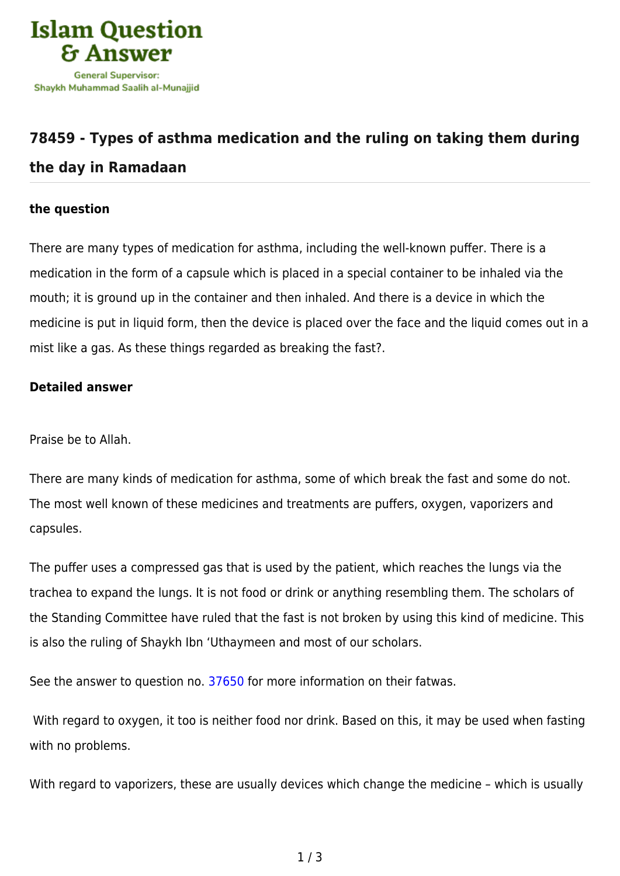

## **[78459 - Types of asthma medication and the ruling on taking them during](https://islamqa.com/en/answers/78459/types-of-asthma-medication-and-the-ruling-on-taking-them-during-the-day-in-ramadaan) [the day in Ramadaan](https://islamqa.com/en/answers/78459/types-of-asthma-medication-and-the-ruling-on-taking-them-during-the-day-in-ramadaan)**

## **the question**

There are many types of medication for asthma, including the well-known puffer. There is a medication in the form of a capsule which is placed in a special container to be inhaled via the mouth; it is ground up in the container and then inhaled. And there is a device in which the medicine is put in liquid form, then the device is placed over the face and the liquid comes out in a mist like a gas. As these things regarded as breaking the fast?.

## **Detailed answer**

Praise be to Allah.

There are many kinds of medication for asthma, some of which break the fast and some do not. The most well known of these medicines and treatments are puffers, oxygen, vaporizers and capsules.

The puffer uses a compressed gas that is used by the patient, which reaches the lungs via the trachea to expand the lungs. It is not food or drink or anything resembling them. The scholars of the Standing Committee have ruled that the fast is not broken by using this kind of medicine. This is also the ruling of Shaykh Ibn 'Uthaymeen and most of our scholars.

See the answer to question no. [37650](https://islamqa.com/en/answers/37650) for more information on their fatwas.

 With regard to oxygen, it too is neither food nor drink. Based on this, it may be used when fasting with no problems.

With regard to vaporizers, these are usually devices which change the medicine – which is usually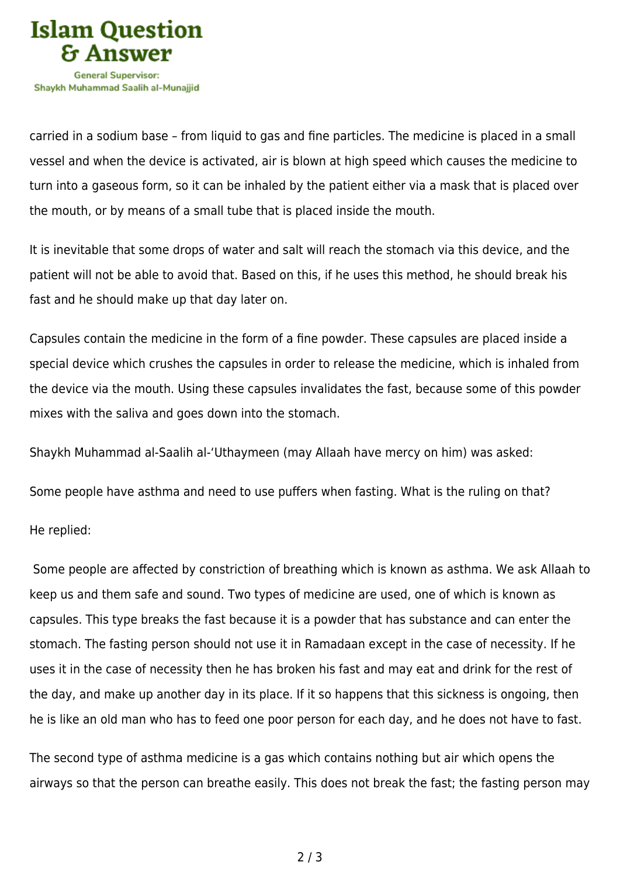

carried in a sodium base – from liquid to gas and fine particles. The medicine is placed in a small vessel and when the device is activated, air is blown at high speed which causes the medicine to turn into a gaseous form, so it can be inhaled by the patient either via a mask that is placed over the mouth, or by means of a small tube that is placed inside the mouth.

It is inevitable that some drops of water and salt will reach the stomach via this device, and the patient will not be able to avoid that. Based on this, if he uses this method, he should break his fast and he should make up that day later on.

Capsules contain the medicine in the form of a fine powder. These capsules are placed inside a special device which crushes the capsules in order to release the medicine, which is inhaled from the device via the mouth. Using these capsules invalidates the fast, because some of this powder mixes with the saliva and goes down into the stomach.

Shaykh Muhammad al-Saalih al-'Uthaymeen (may Allaah have mercy on him) was asked:

Some people have asthma and need to use puffers when fasting. What is the ruling on that?

He replied:

 Some people are affected by constriction of breathing which is known as asthma. We ask Allaah to keep us and them safe and sound. Two types of medicine are used, one of which is known as capsules. This type breaks the fast because it is a powder that has substance and can enter the stomach. The fasting person should not use it in Ramadaan except in the case of necessity. If he uses it in the case of necessity then he has broken his fast and may eat and drink for the rest of the day, and make up another day in its place. If it so happens that this sickness is ongoing, then he is like an old man who has to feed one poor person for each day, and he does not have to fast.

The second type of asthma medicine is a gas which contains nothing but air which opens the airways so that the person can breathe easily. This does not break the fast; the fasting person may